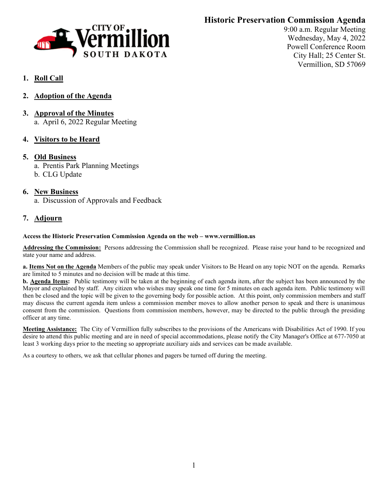# **Historic Preservation Commission Agenda**



9:00 a.m. Regular Meeting Wednesday, May 4, 2022 Powell Conference Room City Hall; 25 Center St. Vermillion, SD 57069

# **1. Roll Call**

- **2. Adoption of the Agenda**
- **3. Approval of the Minutes** a. April 6, 2022 Regular Meeting
- **4. Visitors to be Heard**

#### **5. Old Business**

a. Prentis Park Planning Meetings

b. CLG Update

## **6. New Business**

a. Discussion of Approvals and Feedback

## **7. Adjourn**

#### **Access the Historic Preservation Commission Agenda on the web – www.vermillion.us**

**Addressing the Commission:** Persons addressing the Commission shall be recognized. Please raise your hand to be recognized and state your name and address.

**a. Items Not on the Agenda** Members of the public may speak under Visitors to Be Heard on any topic NOT on the agenda. Remarks are limited to 5 minutes and no decision will be made at this time.

**b. Agenda Items:** Public testimony will be taken at the beginning of each agenda item, after the subject has been announced by the Mayor and explained by staff. Any citizen who wishes may speak one time for 5 minutes on each agenda item. Public testimony will then be closed and the topic will be given to the governing body for possible action. At this point, only commission members and staff may discuss the current agenda item unless a commission member moves to allow another person to speak and there is unanimous consent from the commission. Questions from commission members, however, may be directed to the public through the presiding officer at any time.

**Meeting Assistance:** The City of Vermillion fully subscribes to the provisions of the Americans with Disabilities Act of 1990. If you desire to attend this public meeting and are in need of special accommodations, please notify the City Manager's Office at 677-7050 at least 3 working days prior to the meeting so appropriate auxiliary aids and services can be made available.

As a courtesy to others, we ask that cellular phones and pagers be turned off during the meeting.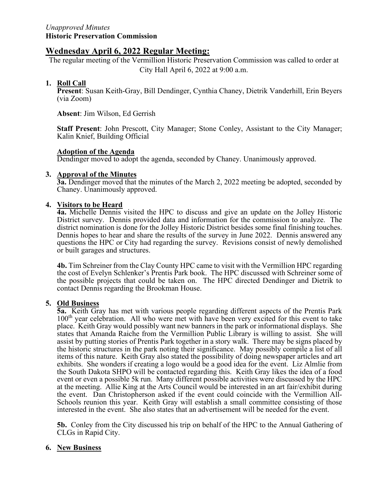## **Wednesday April 6, 2022 Regular Meeting:**

The regular meeting of the Vermillion Historic Preservation Commission was called to order at City Hall April 6, 2022 at 9:00 a.m.

#### **1. Roll Call**

**Present**: Susan Keith-Gray, Bill Dendinger, Cynthia Chaney, Dietrik Vanderhill, Erin Beyers (via Zoom)

**Absent**: Jim Wilson, Ed Gerrish

**Staff Present**: John Prescott, City Manager; Stone Conley, Assistant to the City Manager; Kalin Knief, Building Official

#### **Adoption of the Agenda**

Dendinger moved to adopt the agenda, seconded by Chaney. Unanimously approved.

#### **3. Approval of the Minutes**

**3a.** Dendinger moved that the minutes of the March 2, 2022 meeting be adopted, seconded by Chaney. Unanimously approved.

#### **4. Visitors to be Heard**

**4a.** Michelle Dennis visited the HPC to discuss and give an update on the Jolley Historic District survey. Dennis provided data and information for the commission to analyze. The district nomination is done for the Jolley Historic District besides some final finishing touches. Dennis hopes to hear and share the results of the survey in June 2022. Dennis answered any questions the HPC or City had regarding the survey. Revisions consist of newly demolished or built garages and structures.

**4b.** Tim Schreiner from the Clay County HPC came to visit with the Vermillion HPC regarding the cost of Evelyn Schlenker's Prentis Park book. The HPC discussed with Schreiner some of the possible projects that could be taken on. The HPC directed Dendinger and Dietrik to contact Dennis regarding the Brookman House.

#### **5. Old Business**

**5a.** Keith Gray has met with various people regarding different aspects of the Prentis Park 100th year celebration. All who were met with have been very excited for this event to take place. Keith Gray would possibly want new banners in the park or informational displays. She states that Amanda Raiche from the Vermillion Public Library is willing to assist. She will assist by putting stories of Prentis Park together in a story walk. There may be signs placed by the historic structures in the park noting their significance. May possibly compile a list of all items of this nature. Keith Gray also stated the possibility of doing newspaper articles and art exhibits. She wonders if creating a logo would be a good idea for the event. Liz Almlie from the South Dakota SHPO will be contacted regarding this. Keith Gray likes the idea of a food event or even a possible 5k run. Many different possible activities were discussed by the HPC at the meeting. Allie King at the Arts Council would be interested in an art fair/exhibit during the event. Dan Christopherson asked if the event could coincide with the Vermillion All-Schools reunion this year. Keith Gray will establish a small committee consisting of those interested in the event. She also states that an advertisement will be needed for the event.

**5b.** Conley from the City discussed his trip on behalf of the HPC to the Annual Gathering of CLGs in Rapid City.

#### **6. New Business**